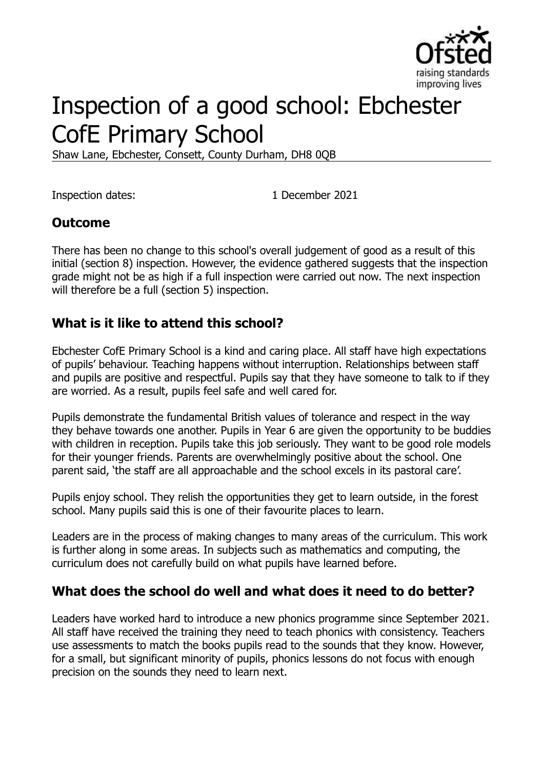

# Inspection of a good school: Ebchester CofE Primary School

Shaw Lane, Ebchester, Consett, County Durham, DH8 0QB

Inspection dates: 1 December 2021

#### **Outcome**

There has been no change to this school's overall judgement of good as a result of this initial (section 8) inspection. However, the evidence gathered suggests that the inspection grade might not be as high if a full inspection were carried out now. The next inspection will therefore be a full (section 5) inspection.

#### **What is it like to attend this school?**

Ebchester CofE Primary School is a kind and caring place. All staff have high expectations of pupils' behaviour. Teaching happens without interruption. Relationships between staff and pupils are positive and respectful. Pupils say that they have someone to talk to if they are worried. As a result, pupils feel safe and well cared for.

Pupils demonstrate the fundamental British values of tolerance and respect in the way they behave towards one another. Pupils in Year 6 are given the opportunity to be buddies with children in reception. Pupils take this job seriously. They want to be good role models for their younger friends. Parents are overwhelmingly positive about the school. One parent said, 'the staff are all approachable and the school excels in its pastoral care'.

Pupils enjoy school. They relish the opportunities they get to learn outside, in the forest school. Many pupils said this is one of their favourite places to learn.

Leaders are in the process of making changes to many areas of the curriculum. This work is further along in some areas. In subjects such as mathematics and computing, the curriculum does not carefully build on what pupils have learned before.

#### **What does the school do well and what does it need to do better?**

Leaders have worked hard to introduce a new phonics programme since September 2021. All staff have received the training they need to teach phonics with consistency. Teachers use assessments to match the books pupils read to the sounds that they know. However, for a small, but significant minority of pupils, phonics lessons do not focus with enough precision on the sounds they need to learn next.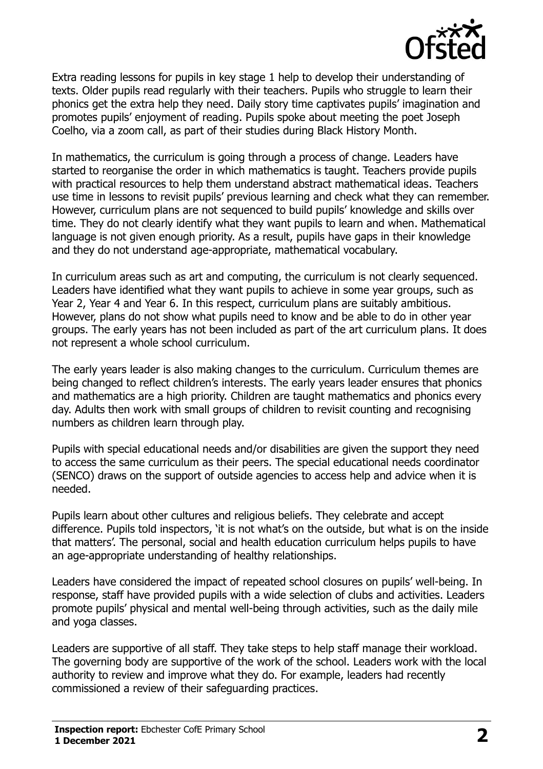

Extra reading lessons for pupils in key stage 1 help to develop their understanding of texts. Older pupils read regularly with their teachers. Pupils who struggle to learn their phonics get the extra help they need. Daily story time captivates pupils' imagination and promotes pupils' enjoyment of reading. Pupils spoke about meeting the poet Joseph Coelho, via a zoom call, as part of their studies during Black History Month.

In mathematics, the curriculum is going through a process of change. Leaders have started to reorganise the order in which mathematics is taught. Teachers provide pupils with practical resources to help them understand abstract mathematical ideas. Teachers use time in lessons to revisit pupils' previous learning and check what they can remember. However, curriculum plans are not sequenced to build pupils' knowledge and skills over time. They do not clearly identify what they want pupils to learn and when. Mathematical language is not given enough priority. As a result, pupils have gaps in their knowledge and they do not understand age-appropriate, mathematical vocabulary.

In curriculum areas such as art and computing, the curriculum is not clearly sequenced. Leaders have identified what they want pupils to achieve in some year groups, such as Year 2, Year 4 and Year 6. In this respect, curriculum plans are suitably ambitious. However, plans do not show what pupils need to know and be able to do in other year groups. The early years has not been included as part of the art curriculum plans. It does not represent a whole school curriculum.

The early years leader is also making changes to the curriculum. Curriculum themes are being changed to reflect children's interests. The early years leader ensures that phonics and mathematics are a high priority. Children are taught mathematics and phonics every day. Adults then work with small groups of children to revisit counting and recognising numbers as children learn through play.

Pupils with special educational needs and/or disabilities are given the support they need to access the same curriculum as their peers. The special educational needs coordinator (SENCO) draws on the support of outside agencies to access help and advice when it is needed.

Pupils learn about other cultures and religious beliefs. They celebrate and accept difference. Pupils told inspectors, 'it is not what's on the outside, but what is on the inside that matters'. The personal, social and health education curriculum helps pupils to have an age-appropriate understanding of healthy relationships.

Leaders have considered the impact of repeated school closures on pupils' well-being. In response, staff have provided pupils with a wide selection of clubs and activities. Leaders promote pupils' physical and mental well-being through activities, such as the daily mile and yoga classes.

Leaders are supportive of all staff. They take steps to help staff manage their workload. The governing body are supportive of the work of the school. Leaders work with the local authority to review and improve what they do. For example, leaders had recently commissioned a review of their safeguarding practices.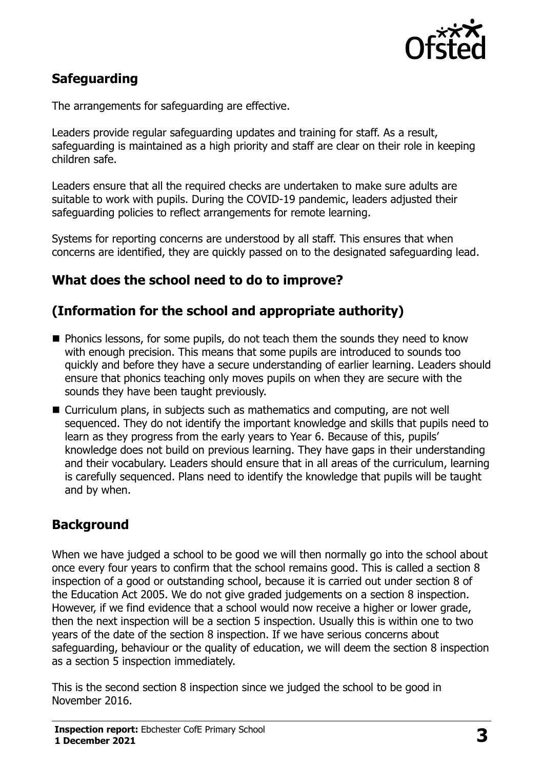

# **Safeguarding**

The arrangements for safeguarding are effective.

Leaders provide regular safeguarding updates and training for staff. As a result, safeguarding is maintained as a high priority and staff are clear on their role in keeping children safe.

Leaders ensure that all the required checks are undertaken to make sure adults are suitable to work with pupils. During the COVID-19 pandemic, leaders adjusted their safeguarding policies to reflect arrangements for remote learning.

Systems for reporting concerns are understood by all staff. This ensures that when concerns are identified, they are quickly passed on to the designated safeguarding lead.

## **What does the school need to do to improve?**

## **(Information for the school and appropriate authority)**

- Phonics lessons, for some pupils, do not teach them the sounds they need to know with enough precision. This means that some pupils are introduced to sounds too quickly and before they have a secure understanding of earlier learning. Leaders should ensure that phonics teaching only moves pupils on when they are secure with the sounds they have been taught previously.
- Curriculum plans, in subjects such as mathematics and computing, are not well sequenced. They do not identify the important knowledge and skills that pupils need to learn as they progress from the early years to Year 6. Because of this, pupils' knowledge does not build on previous learning. They have gaps in their understanding and their vocabulary. Leaders should ensure that in all areas of the curriculum, learning is carefully sequenced. Plans need to identify the knowledge that pupils will be taught and by when.

# **Background**

When we have judged a school to be good we will then normally go into the school about once every four years to confirm that the school remains good. This is called a section 8 inspection of a good or outstanding school, because it is carried out under section 8 of the Education Act 2005. We do not give graded judgements on a section 8 inspection. However, if we find evidence that a school would now receive a higher or lower grade, then the next inspection will be a section 5 inspection. Usually this is within one to two years of the date of the section 8 inspection. If we have serious concerns about safeguarding, behaviour or the quality of education, we will deem the section 8 inspection as a section 5 inspection immediately.

This is the second section 8 inspection since we judged the school to be good in November 2016.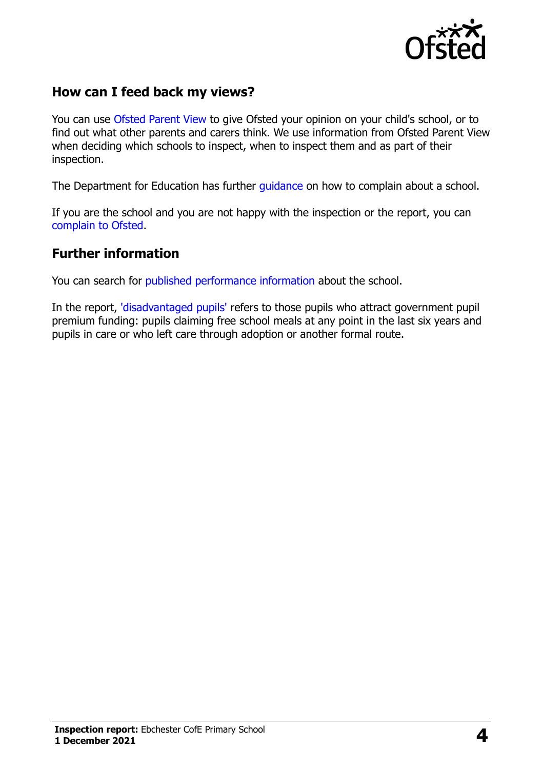

## **How can I feed back my views?**

You can use [Ofsted Parent View](https://parentview.ofsted.gov.uk/) to give Ofsted your opinion on your child's school, or to find out what other parents and carers think. We use information from Ofsted Parent View when deciding which schools to inspect, when to inspect them and as part of their inspection.

The Department for Education has further quidance on how to complain about a school.

If you are the school and you are not happy with the inspection or the report, you can [complain to Ofsted.](https://www.gov.uk/complain-ofsted-report)

#### **Further information**

You can search for [published performance information](http://www.compare-school-performance.service.gov.uk/) about the school.

In the report, ['disadvantaged pupils'](http://www.gov.uk/guidance/pupil-premium-information-for-schools-and-alternative-provision-settings) refers to those pupils who attract government pupil premium funding: pupils claiming free school meals at any point in the last six years and pupils in care or who left care through adoption or another formal route.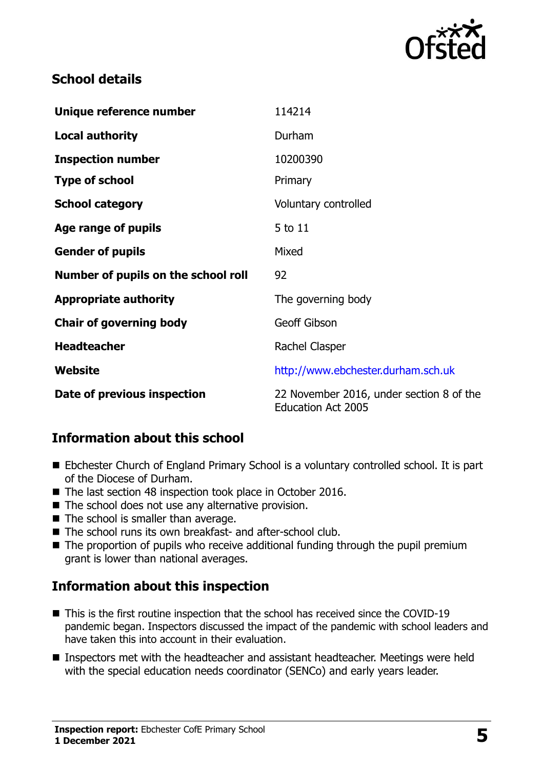

## **School details**

| Unique reference number             | 114214                                                                |
|-------------------------------------|-----------------------------------------------------------------------|
| <b>Local authority</b>              | Durham                                                                |
| <b>Inspection number</b>            | 10200390                                                              |
| <b>Type of school</b>               | Primary                                                               |
| <b>School category</b>              | Voluntary controlled                                                  |
| Age range of pupils                 | 5 to 11                                                               |
| <b>Gender of pupils</b>             | Mixed                                                                 |
| Number of pupils on the school roll | 92                                                                    |
| <b>Appropriate authority</b>        | The governing body                                                    |
| <b>Chair of governing body</b>      | <b>Geoff Gibson</b>                                                   |
| <b>Headteacher</b>                  | Rachel Clasper                                                        |
| Website                             | http://www.ebchester.durham.sch.uk                                    |
| Date of previous inspection         | 22 November 2016, under section 8 of the<br><b>Education Act 2005</b> |

# **Information about this school**

- Ebchester Church of England Primary School is a voluntary controlled school. It is part of the Diocese of Durham.
- The last section 48 inspection took place in October 2016.
- The school does not use any alternative provision.
- The school is smaller than average.
- The school runs its own breakfast- and after-school club.
- The proportion of pupils who receive additional funding through the pupil premium grant is lower than national averages.

# **Information about this inspection**

- This is the first routine inspection that the school has received since the COVID-19 pandemic began. Inspectors discussed the impact of the pandemic with school leaders and have taken this into account in their evaluation.
- Inspectors met with the headteacher and assistant headteacher. Meetings were held with the special education needs coordinator (SENCo) and early years leader.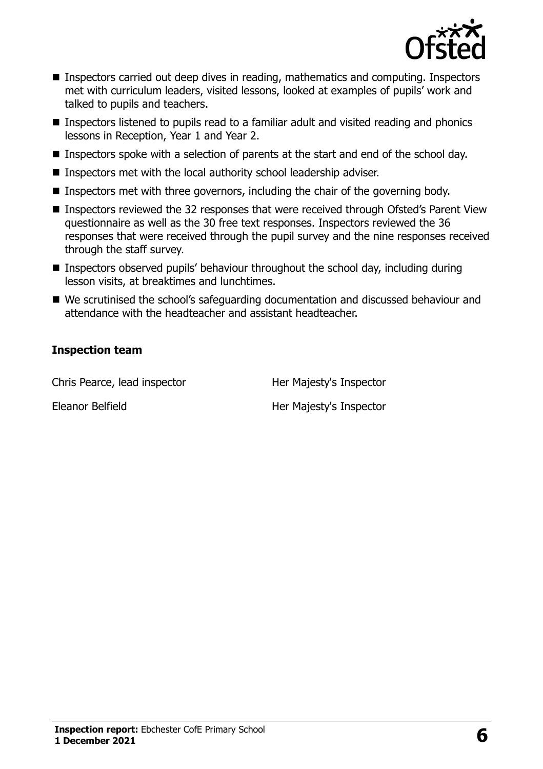

- Inspectors carried out deep dives in reading, mathematics and computing. Inspectors met with curriculum leaders, visited lessons, looked at examples of pupils' work and talked to pupils and teachers.
- Inspectors listened to pupils read to a familiar adult and visited reading and phonics lessons in Reception, Year 1 and Year 2.
- Inspectors spoke with a selection of parents at the start and end of the school day.
- Inspectors met with the local authority school leadership adviser.
- Inspectors met with three governors, including the chair of the governing body.
- Inspectors reviewed the 32 responses that were received through Ofsted's Parent View questionnaire as well as the 30 free text responses. Inspectors reviewed the 36 responses that were received through the pupil survey and the nine responses received through the staff survey.
- Inspectors observed pupils' behaviour throughout the school day, including during lesson visits, at breaktimes and lunchtimes.
- We scrutinised the school's safeguarding documentation and discussed behaviour and attendance with the headteacher and assistant headteacher.

#### **Inspection team**

Chris Pearce, lead inspector **Her Majesty's Inspector** 

Eleanor Belfield Her Majesty's Inspector